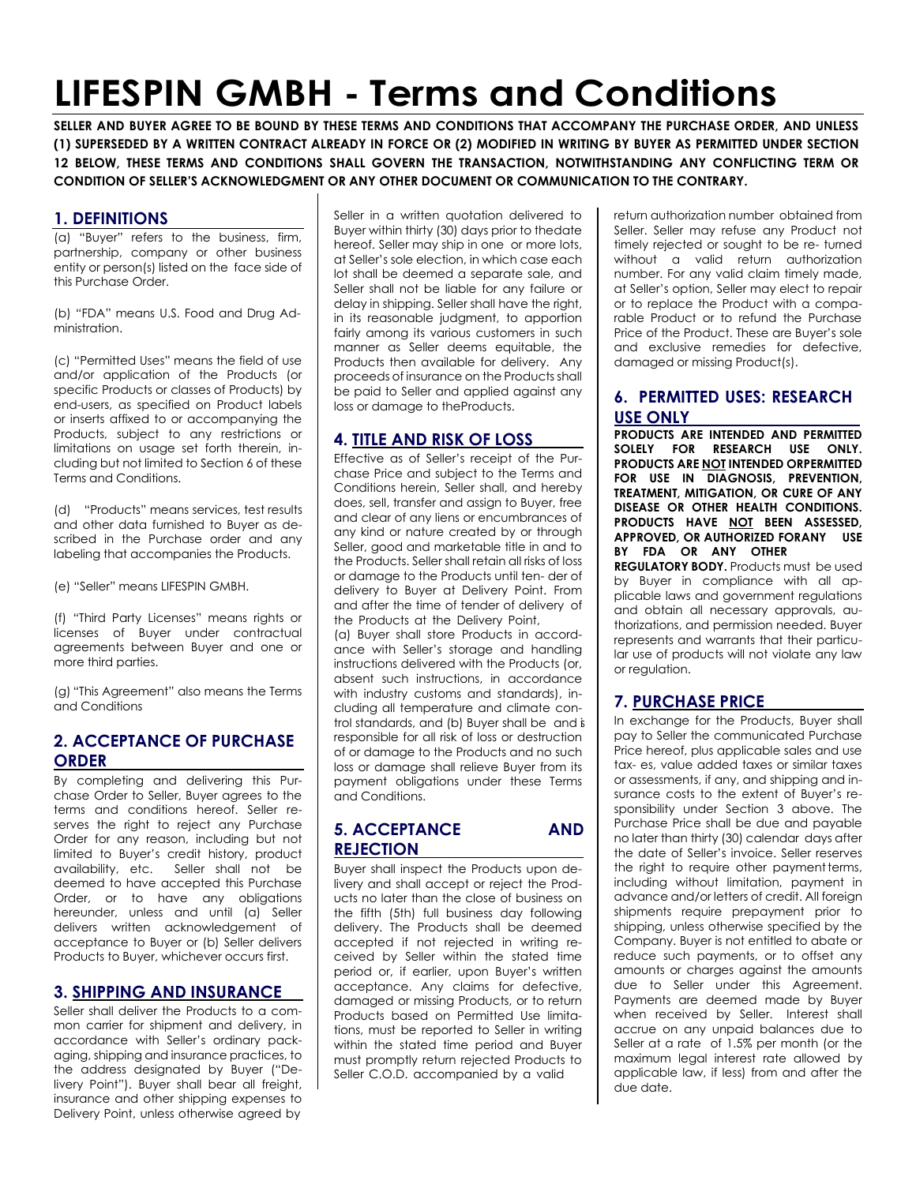# **LIFESPIN GMBH - Terms and Conditions**

SELLER AND BUYER AGREE TO BE BOUND BY THESE TERMS AND CONDITIONS THAT ACCOMPANY THE PURCHASE ORDER, AND UNLESS (1) SUPERSEDED BY A WRITTEN CONTRACT ALREADY IN FORCE OR (2) MODIFIED IN WRITING BY BUYER AS PERMITTED UNDER SECTION **12 BELOW, THESE TERMS AND CONDITIONS SHALL GOVERN THE TRANSACTION, NOTWITHSTANDING ANY CONFLICTING TERM OR CONDITION OF SELLER'S ACKNOWLEDGMENT OR ANY OTHER DOCUMENT OR COMMUNICATION TO THE CONTRARY.**

## **1. DEFINITIONS**

(a) "Buyer" refers to the business, firm, partnership, company or other business entity or person(s) listed on the face side of this Purchase Order.

(b) "FDA" means U.S. Food and Drug Administration.

(c) "Permitted Uses" means the field of use and/or application of the Products (or specific Products or classes of Products) by end-users, as specified on Product labels or inserts affixed to or accompanying the Products, subject to any restrictions or limitations on usage set forth therein, including but not limited to Section 6 of these Terms and Conditions.

(d) "Products" means services, test results and other data furnished to Buyer as described in the Purchase order and any labeling that accompanies the Products.

(e) "Seller" means LIFESPIN GMBH.

(f) "Third Party Licenses" means rights or licenses of Buyer under contractual agreements between Buyer and one or more third parties.

(g) "This Agreement" also means the Terms and Conditions

# **2. ACCEPTANCE OF PURCHASE ORDER**

By completing and delivering this Purchase Order to Seller, Buyer agrees to the terms and conditions hereof. Seller reserves the right to reject any Purchase Order for any reason, including but not limited to Buyer's credit history, product availability, etc. Seller shall not be deemed to have accepted this Purchase Order, or to have any obligations hereunder, unless and until (a) Seller delivers written acknowledgement of acceptance to Buyer or (b) Seller delivers Products to Buyer, whichever occurs first.

## **3. SHIPPING AND INSURANCE**

Seller shall deliver the Products to a common carrier for shipment and delivery, in accordance with Seller's ordinary packaging, shipping and insurance practices, to the address designated by Buyer ("Delivery Point"). Buyer shall bear all freight, insurance and other shipping expenses to Delivery Point, unless otherwise agreed by

Seller in a written quotation delivered to Buyer within thirty (30) days prior to thedate hereof. Seller may ship in one or more lots, at Seller's sole election, in which case each lot shall be deemed a separate sale, and Seller shall not be liable for any failure or delay in shipping. Seller shall have the right, in its reasonable judgment, to apportion fairly among its various customers in such manner as Seller deems equitable, the Products then available for delivery. Any proceeds of insurance on the Products shall be paid to Seller and applied against any loss or damage to theProducts.

## **4. TITLE AND RISK OF LOSS**

Effective as of Seller's receipt of the Purchase Price and subject to the Terms and Conditions herein, Seller shall, and hereby does, sell, transfer and assign to Buyer, free and clear of any liens or encumbrances of any kind or nature created by or through Seller, good and marketable title in and to the Products. Seller shall retain all risks of loss or damage to the Products until ten- der of delivery to Buyer at Delivery Point. From and after the time of tender of delivery of the Products at the Delivery Point,

(a) Buyer shall store Products in accordance with Seller's storage and handling instructions delivered with the Products (or, absent such instructions, in accordance with industry customs and standards), including all temperature and climate control standards, and (b) Buyer shall be and is responsible for all risk of loss or destruction of or damage to the Products and no such loss or damage shall relieve Buyer from its payment obligations under these Terms and Conditions.

## **5. ACCEPTANCE AND REJECTION**

Buyer shall inspect the Products upon delivery and shall accept or reject the Products no later than the close of business on the fifth (5th) full business day following delivery. The Products shall be deemed accepted if not rejected in writing received by Seller within the stated time period or, if earlier, upon Buyer's written acceptance. Any claims for defective, damaged or missing Products, or to return Products based on Permitted Use limitations, must be reported to Seller in writing within the stated time period and Buyer must promptly return rejected Products to Seller C.O.D. accompanied by a valid

return authorization number obtained from Seller. Seller may refuse any Product not timely rejected or sought to be re- turned without a valid return authorization number. For any valid claim timely made, at Seller's option, Seller may elect to repair or to replace the Product with a comparable Product or to refund the Purchase Price of the Product. These are Buyer's sole and exclusive remedies for defective, damaged or missing Product(s).

# **6. PERMITTED USES: RESEARCH USE ONLY**

**PRODUCTS ARE INTENDED AND PERMITTED SOLELY FOR RESEARCH USE ONLY. PRODUCTS ARE NOT INTENDED ORPERMITTED FOR USE IN DIAGNOSIS, PREVENTION, TREATMENT, MITIGATION, OR CURE OF ANY DISEASE OR OTHER HEALTH CONDITIONS. PRODUCTS HAVE NOT BEEN ASSESSED, APPROVED, OR AUTHORIZED FORANY USE BY FDA OR ANY OTHER**

**REGULATORY BODY.** Products must be used by Buyer in compliance with all applicable laws and government regulations and obtain all necessary approvals, authorizations, and permission needed. Buyer represents and warrants that their particular use of products will not violate any law or regulation.

# **7. PURCHASE PRICE**

In exchange for the Products, Buyer shall pay to Seller the communicated Purchase Price hereof, plus applicable sales and use tax- es, value added taxes or similar taxes or assessments, if any, and shipping and insurance costs to the extent of Buyer's responsibility under Section 3 above. The Purchase Price shall be due and payable no later than thirty (30) calendar days after the date of Seller's invoice. Seller reserves the right to require other payment terms, including without limitation, payment in advance and/or letters of credit. All foreign shipments require prepayment prior to shipping, unless otherwise specified by the Company. Buyer is not entitled to abate or reduce such payments, or to offset any amounts or charges against the amounts due to Seller under this Agreement. Payments are deemed made by Buyer when received by Seller. Interest shall accrue on any unpaid balances due to Seller at a rate of 1.5% per month (or the maximum legal interest rate allowed by applicable law, if less) from and after the due date.